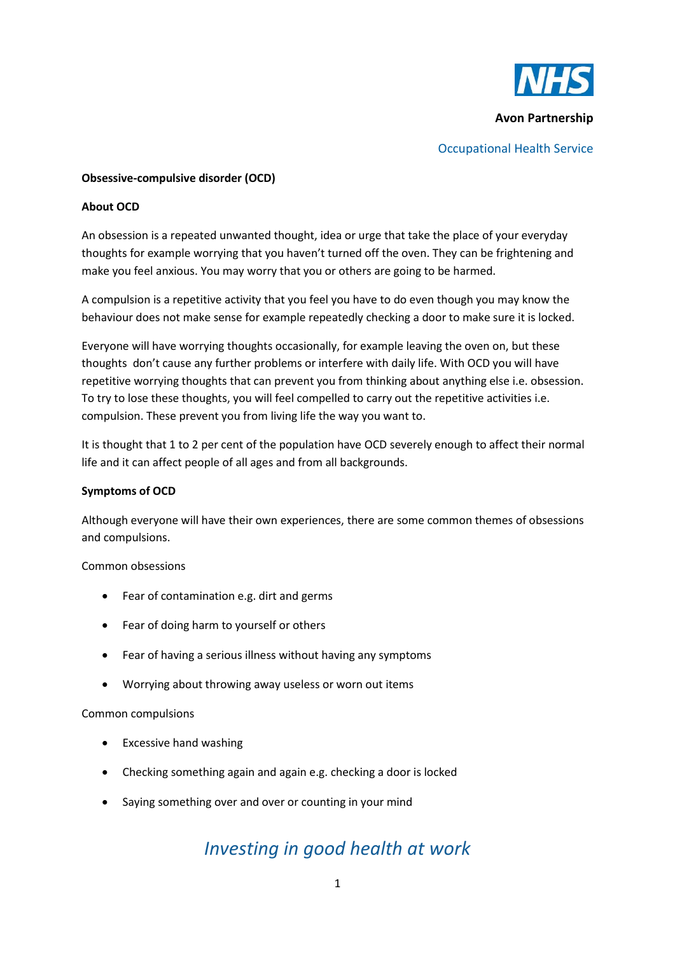

**Avon Partnership**

## Occupational Health Service

## **Obsessive-compulsive disorder (OCD)**

## **About OCD**

An obsession is a repeated unwanted thought, idea or urge that take the place of your everyday thoughts for example worrying that you haven't turned off the oven. They can be frightening and make you feel anxious. You may worry that you or others are going to be harmed.

A compulsion is a repetitive activity that you feel you have to do even though you may know the behaviour does not make sense for example repeatedly checking a door to make sure it is locked.

Everyone will have worrying thoughts occasionally, for example leaving the oven on, but these thoughts don't cause any further problems or interfere with daily life. With OCD you will have repetitive worrying thoughts that can prevent you from thinking about anything else i.e. obsession. To try to lose these thoughts, you will feel compelled to carry out the repetitive activities i.e. compulsion. These prevent you from living life the way you want to.

It is thought that 1 to 2 per cent of the population have OCD severely enough to affect their normal life and it can affect people of all ages and from all backgrounds.

#### **Symptoms of OCD**

Although everyone will have their own experiences, there are some common themes of obsessions and compulsions.

#### Common obsessions

- Fear of contamination e.g. dirt and germs
- Fear of doing harm to yourself or others
- Fear of having a serious illness without having any symptoms
- Worrying about throwing away useless or worn out items

#### Common compulsions

- Excessive hand washing
- Checking something again and again e.g. checking a door is locked
- Saying something over and over or counting in your mind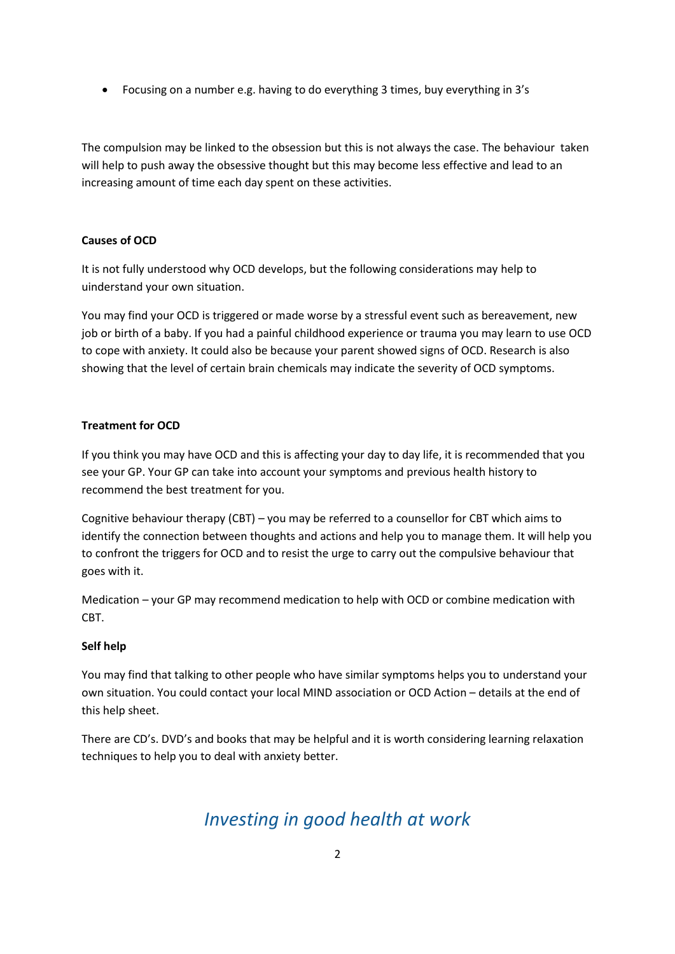Focusing on a number e.g. having to do everything 3 times, buy everything in 3's

The compulsion may be linked to the obsession but this is not always the case. The behaviour taken will help to push away the obsessive thought but this may become less effective and lead to an increasing amount of time each day spent on these activities.

# **Causes of OCD**

It is not fully understood why OCD develops, but the following considerations may help to uinderstand your own situation.

You may find your OCD is triggered or made worse by a stressful event such as bereavement, new job or birth of a baby. If you had a painful childhood experience or trauma you may learn to use OCD to cope with anxiety. It could also be because your parent showed signs of OCD. Research is also showing that the level of certain brain chemicals may indicate the severity of OCD symptoms.

# **Treatment for OCD**

If you think you may have OCD and this is affecting your day to day life, it is recommended that you see your GP. Your GP can take into account your symptoms and previous health history to recommend the best treatment for you.

Cognitive behaviour therapy (CBT) – you may be referred to a counsellor for CBT which aims to identify the connection between thoughts and actions and help you to manage them. It will help you to confront the triggers for OCD and to resist the urge to carry out the compulsive behaviour that goes with it.

Medication – your GP may recommend medication to help with OCD or combine medication with CBT.

# **Self help**

You may find that talking to other people who have similar symptoms helps you to understand your own situation. You could contact your local MIND association or OCD Action – details at the end of this help sheet.

There are CD's. DVD's and books that may be helpful and it is worth considering learning relaxation techniques to help you to deal with anxiety better.